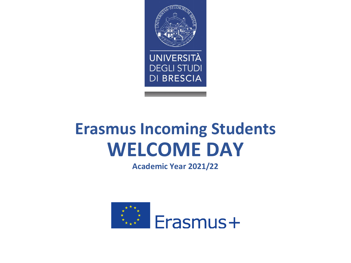

# **Erasmus Incoming Students WELCOME DAY**

**Academic Year 2021/22**

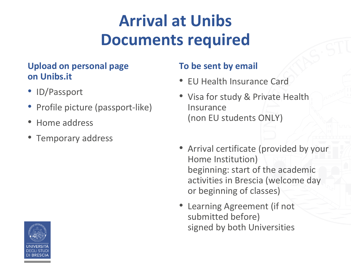# **Arrival at Unibs Documents required**

#### **Upload on personal page on Unibs.it**

- ID/Passport
- Profile picture (passport-like)
- Home address
- Temporary address

#### **To be sent by email**

- EU Health Insurance Card
- Visa for study & Private Health Insurance (non EU students ONLY)
- Arrival certificate (provided by your Home Institution) beginning: start of the academic activities in Brescia (welcome day or beginning of classes)
- Learning Agreement (if not submitted before) signed by both Universities

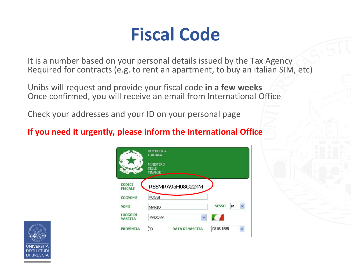# **Fiscal Code**

It is a number based on your personal details issued by the Tax Agency Required for contracts (e.g. to rent an apartment, to buy an italian SIM, etc)

Unibs will request and provide your fiscal code **in a few weeks** Once confirmed, you will receive an email from International Office

Check your addresses and your ID on your personal page

#### **If you need it urgently, please inform the International Office**



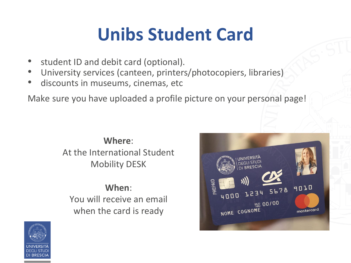# **Unibs Student Card**

- student ID and debit card (optional).
- University services (canteen, printers/photocopiers, libraries)
- discounts in museums, cinemas, etc

Make sure you have uploaded a profile picture on your personal page!

### **Where**: At the International Student Mobility DESK

#### **When**:

You will receive an email when the card is ready



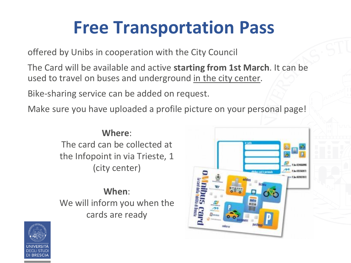# **Free Transportation Pass**

offered by Unibs in cooperation with the City Council

The Card will be available and active **starting from 1st March**. It can be used to travel on buses and underground in the city center.

Bike-sharing service can be added on request.

Make sure you have uploaded a profile picture on your personal page!

#### **Where**:

The card can be collected at the Infopoint in via Trieste, 1 (city center)

### **When**: We will inform you when the cards are ready



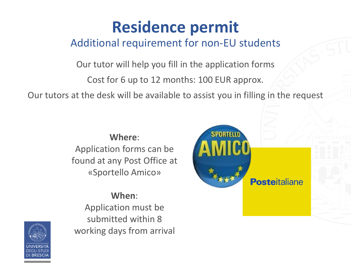# **Residence permit**

### Additional requirement for non-EU students

Our tutor will help you fill in the application forms

Cost for 6 up to 12 months: 100 EUR approx.

Our tutors at the desk will be available to assist you in filling in the request

#### **Where**:

Application forms can be found at any Post Office at «Sportello Amico»

### **When**: Application must be submitted within 8 working days from arrival



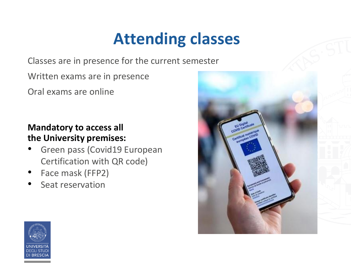# **Attending classes**

Classes are in presence for the current semester

Written exams are in presence

Oral exams are online

#### **Mandatory to access all the University premises:**

- Green pass (Covid19 European Certification with QR code)
- Face mask (FFP2)
- Seat reservation



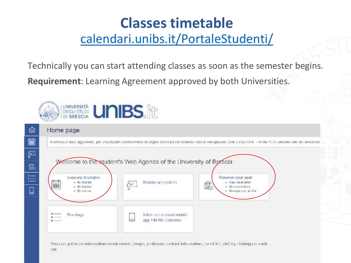### **Classes timetable** [calendari.unibs.it/PortaleStudenti/](https://calendari.unibs.it/PortaleStudenti/index.php?view=home&include=homepage&_lang=en)

Technically you can start attending classes as soon as the semester begins.

**Requirement**: Learning Agreement approved by both Universities.

|                  | DEGLISTUDI <b>LINIBS</b>                                                         |                                                                                                                                                                                 |                                                                                   |  |
|------------------|----------------------------------------------------------------------------------|---------------------------------------------------------------------------------------------------------------------------------------------------------------------------------|-----------------------------------------------------------------------------------|--|
| ⋒                | Home page                                                                        |                                                                                                                                                                                 |                                                                                   |  |
| 崮                |                                                                                  | Il servizio è stato aggiornato, per visualizzare correttamente la pagna ricancala cancellando i dati di navigazione (tasti CTRL+SEIBI F+R da PC o cancella i dati di naviazione |                                                                                   |  |
| ₽<br>感<br>這<br>Q | Lessons timetable<br>$-$ By degree<br><b>III</b><br>. By Israchur<br>. By course | Welcome to the student's Web Agenda of the University of Brescia<br>Rooms occupation<br>恩<br>r                                                                                  | Reserve your seat<br>· New reconvation<br>· Managevaluna<br>. Manage your profile |  |
|                  | <b>Выкими</b><br>$0$ $-$                                                         | information about mobile<br>$rac{1}{2}$<br>app UN BS Calcadar                                                                                                                   |                                                                                   |  |

You can get more information about events (maps, professor contact information, ovent list, etc) by clicking on each cell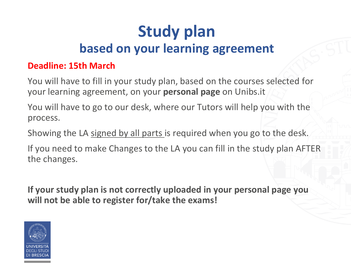## **Study plan based on your learning agreement**

#### **Deadline: 15th March**

You will have to fill in your study plan, based on the courses selected for your learning agreement, on your **personal page** on Unibs.it

You will have to go to our desk, where our Tutors will help you with the process.

Showing the LA signed by all parts is required when you go to the desk.

If you need to make Changes to the LA you can fill in the study plan AFTER the changes.

**If your study plan is not correctly uploaded in your personal page you will not be able to register for/take the exams!**

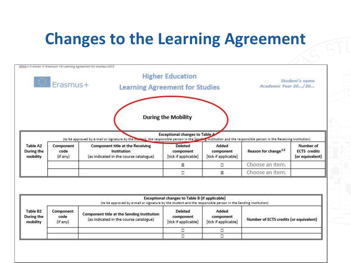## **Changes to the Learning Agreement**

|                                                       |                               | GINA-H-C-Annex IV-Erasmus+ HE Learning Agreement for studiess-2015                                                                                                                                                                                                    |                                                                                                                   |                                            |                                        |                                                     |
|-------------------------------------------------------|-------------------------------|-----------------------------------------------------------------------------------------------------------------------------------------------------------------------------------------------------------------------------------------------------------------------|-------------------------------------------------------------------------------------------------------------------|--------------------------------------------|----------------------------------------|-----------------------------------------------------|
| $Erasmus+$                                            |                               | <b>Higher Education</b><br><b>Learning Agreement for Studies</b>                                                                                                                                                                                                      |                                                                                                                   | Student's name<br>Academic Year 20/20      |                                        |                                                     |
| Table A2<br>During the<br>mobility                    | Component<br>code<br>(if any) | (to be approved by e-mail or signature by the student, the responsible person in the Sending Institution and the responsible person in the Receiving Institution)<br><b>Component title at the Receiving</b><br>Institution<br>(as indicated in the course catalogue) | <b>During the Mobility</b><br>Exceptional changes to Table<br><b>Deleted</b><br>component<br>[tick if applicable] | Added<br>component<br>[tick if applicable] | Reason for change <sup>12</sup>        | Number of<br><b>ECTS</b> credits<br>(or equivalent) |
|                                                       |                               |                                                                                                                                                                                                                                                                       | ⊠                                                                                                                 | п                                          | Choose an item.                        |                                                     |
|                                                       |                               |                                                                                                                                                                                                                                                                       | σ                                                                                                                 | 図                                          | Choose an item.                        |                                                     |
|                                                       |                               |                                                                                                                                                                                                                                                                       | Exceptional changes to Table B (if applicable)                                                                    |                                            |                                        |                                                     |
| Table B <sub>2</sub><br><b>During the</b><br>mobility | Component<br>code<br>(if any) | (to be approved by e-mail or signature by the student and the responsible person in the Sending Institution)<br><b>Component title at the Sending Institution</b><br>(as indicated in the course catalogue)                                                           | Deleted<br>component<br>[tick if applicable]                                                                      | Added<br>component<br>[tick if applicable] | Number of ECTS credits (or equivalent) |                                                     |
|                                                       |                               |                                                                                                                                                                                                                                                                       | □                                                                                                                 | о                                          |                                        |                                                     |
|                                                       |                               |                                                                                                                                                                                                                                                                       |                                                                                                                   | D                                          |                                        |                                                     |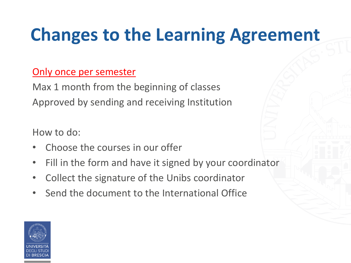# **Changes to the Learning Agreement**

### Only once per semester

Max 1 month from the beginning of classes Approved by sending and receiving Institution

How to do:

- Choose the courses in our offer
- Fill in the form and have it signed by your coordinator
- Collect the signature of the Unibs coordinator
- Send the document to the International Office

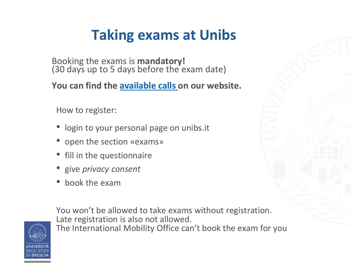## **Taking exams at Unibs**

Booking the exams is **mandatory!** (30 days up to 5 days before the exam date)

**You can find the [available calls](https://esse3.unibs.it/ListaAppelliOfferta.do) on our website.**

How to register:

- login to your personal page on unibs.it
- open the section «exams»
- fill in the questionnaire
- give *privacy consent*
- book the exam

You won't be allowed to take exams without registration. Late registration is also not allowed. The International Mobility Office can't book the exam for you

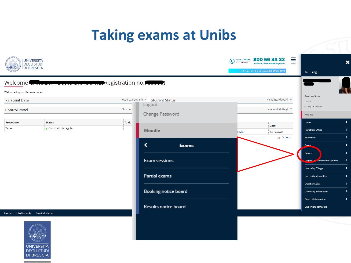## **Taking exams at Unibs**

| <b>UNIVERSITÀ</b><br><b>DEGLI STUDI</b><br><b>DI BRESCIA</b> |                                                     |                       |                       | <b>INFOSTUDENTE</b><br>(پ<br>CALL CENTER | Ξ<br>800 66 34 23<br><b>MENU</b><br>(anche da cellulare) servizio gratuito<br>attivo dal lunedì al venerdì dalle 8:00 alle 18:00 | ita eng                        |               |
|--------------------------------------------------------------|-----------------------------------------------------|-----------------------|-----------------------|------------------------------------------|----------------------------------------------------------------------------------------------------------------------------------|--------------------------------|---------------|
|                                                              | Welcome Childen in Lorra Missourne Registration no. |                       |                       |                                          |                                                                                                                                  |                                |               |
| Welcome to your Reserved Area                                |                                                     |                       |                       |                                          |                                                                                                                                  |                                |               |
| <b>Personal Data</b>                                         |                                                     | Visualizza dettagli ▶ | <b>Student Status</b> |                                          | Visualizza dettagli                                                                                                              | <b>Reserved Area</b><br>Logout |               |
| <b>Control Panel</b>                                         |                                                     | Logout<br>Nascond     |                       |                                          | Nascondi dettagli ▼                                                                                                              | Change Password                |               |
|                                                              |                                                     |                       | Change Password       |                                          |                                                                                                                                  | Moodle                         |               |
| Procedure                                                    | <b>Status</b>                                       | To do                 |                       |                                          | <b>Date</b>                                                                                                                      | Home                           | $\rightarrow$ |
| Taxes                                                        | · Your status is regular                            | Moodle                |                       | male                                     | 17/12/2021                                                                                                                       | Registrar's Office             | $\rightarrow$ |
|                                                              |                                                     |                       |                       |                                          | $\equiv$ Others                                                                                                                  | Study Plan                     | $\rightarrow$ |
|                                                              |                                                     | ∢                     | <b>Exams</b>          |                                          |                                                                                                                                  | Career                         | $\rightarrow$ |
|                                                              |                                                     |                       |                       |                                          |                                                                                                                                  | Exams                          | $\rightarrow$ |
|                                                              |                                                     | Exam sessions         |                       |                                          |                                                                                                                                  | Degree / Paud Graduate Diploma | $\rightarrow$ |
|                                                              |                                                     |                       |                       |                                          |                                                                                                                                  | Internship / Stage             | $\rightarrow$ |
|                                                              |                                                     | Partial exams         |                       |                                          |                                                                                                                                  | International mobility         | $\rightarrow$ |
|                                                              |                                                     |                       |                       |                                          |                                                                                                                                  | Questionnaires                 | $\rightarrow$ |
|                                                              |                                                     |                       | Booking notice board  |                                          |                                                                                                                                  | University information         | $\rightarrow$ |
|                                                              |                                                     |                       |                       |                                          |                                                                                                                                  | <b>Student Information</b>     | $\rightarrow$ |
|                                                              |                                                     |                       | Results notice board  |                                          |                                                                                                                                  | Elezioni Studentesche          |               |
| InfoStudente Email di ateneo<br>Home                         |                                                     |                       |                       |                                          |                                                                                                                                  |                                |               |
|                                                              |                                                     |                       |                       |                                          |                                                                                                                                  |                                |               |

**UNIVERSITÀ DEGLI STUD DI BRESCIA**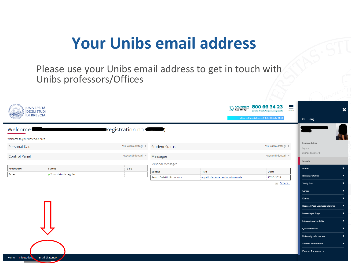## **Your Unibs email address**

Please use your Unibs email address to get in touch with Unibs professors/Offices

| <b>UNIVERSITÀ</b><br><b>DEGLI STUDI</b><br><b>DI BRESCIA</b>     |                          |                                                | <b>INFOSTUDENTE</b><br>$\boldsymbol{\mathcal{C}}$<br>CALL CENTER | Ξ<br>800 66 34 23<br>MENU<br>(anche da cellulare) servizio gratuito | $\boldsymbol{\mathsf{x}}$                       |
|------------------------------------------------------------------|--------------------------|------------------------------------------------|------------------------------------------------------------------|---------------------------------------------------------------------|-------------------------------------------------|
|                                                                  |                          |                                                |                                                                  | attivo dal lunedì al venerdì dalle 8:00 alle 18:00                  | ita eng                                         |
| Welcome <sup>®</sup><br><b>IS SOMIN</b> Registration no. (33333) |                          |                                                |                                                                  |                                                                     |                                                 |
| Welcome to your Reserved Area                                    |                          |                                                |                                                                  |                                                                     |                                                 |
| <b>Personal Data</b>                                             | Visualizza dettagli ▶    | Visualizza dettagli ▶<br><b>Student Status</b> |                                                                  |                                                                     | Reserved Area<br>Logout                         |
| Nascondi dettagli ▼<br><b>Control Panel</b>                      | <b>Messages</b>          | Nascondi dettagli ▼                            | Change Password                                                  |                                                                     |                                                 |
|                                                                  | <b>Personal Messages</b> |                                                | Moodle                                                           |                                                                     |                                                 |
| Procedure<br><b>Status</b>                                       | To do                    | Sender                                         | <b>Title</b>                                                     | <b>Date</b>                                                         | $\rightarrow$<br>Home                           |
| Your status is regular<br>Taxes                                  |                          | Servizi Didattici Economia                     | Appelli d'esame sessione invernale                               | 17/12/2021                                                          | $\rightarrow$<br>Registrar's Office             |
|                                                                  |                          |                                                |                                                                  | $\equiv$ Others                                                     | $\rightarrow$<br><b>Study Plan</b>              |
|                                                                  |                          |                                                |                                                                  |                                                                     | $\rightarrow$<br>Career                         |
|                                                                  |                          |                                                |                                                                  |                                                                     | $\rightarrow$<br>Exams                          |
|                                                                  |                          |                                                |                                                                  |                                                                     | $\rightarrow$<br>Degree / Post-Graduate Diploma |
|                                                                  |                          |                                                |                                                                  |                                                                     | $\,$<br>Internship / Stage                      |
|                                                                  |                          |                                                |                                                                  |                                                                     | $\rightarrow$<br>International mobility         |
|                                                                  |                          |                                                |                                                                  |                                                                     | $\rightarrow$<br>Questionnaires                 |
|                                                                  |                          |                                                |                                                                  |                                                                     | $\rightarrow$<br>University information         |
|                                                                  |                          |                                                |                                                                  |                                                                     | $\rightarrow$<br><b>Student Information</b>     |
|                                                                  |                          |                                                |                                                                  |                                                                     | Elezioni Studentesche                           |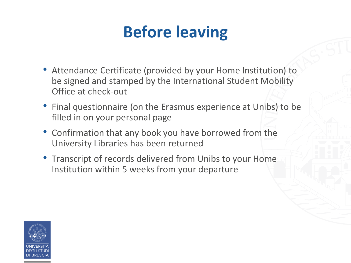# **Before leaving**

- Attendance Certificate (provided by your Home Institution) to be signed and stamped by the International Student Mobility Office at check-out
- Final questionnaire (on the Erasmus experience at Unibs) to be filled in on your personal page
- Confirmation that any book you have borrowed from the University Libraries has been returned
- Transcript of records delivered from Unibs to your Home Institution within 5 weeks from your departure

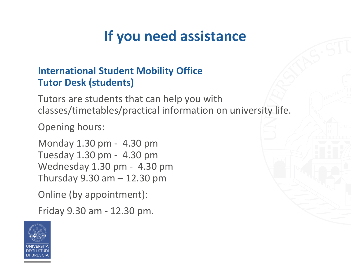## **If you need assistance**

### **International Student Mobility Office Tutor Desk (students)**

Tutors are students that can help you with classes/timetables/practical information on university life.

Opening hours:

Monday 1.30 pm - 4.30 pm Tuesday 1.30 pm - 4.30 pm Wednesday 1.30 pm - 4.30 pm Thursday 9.30 am – 12.30 pm

Online (by appointment):

Friday 9.30 am - 12.30 pm.

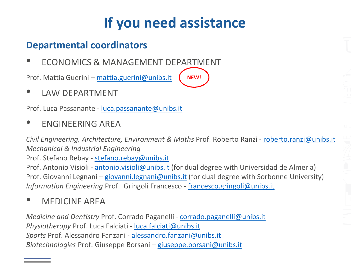## **If you need assistance**

### **Departmental coordinators**

• ECONOMICS & MANAGEMENT DEPARTMENT

Prof. Mattia Guerini – [mattia.guerini@unibs.it](mailto:mattia.guerini@unibs.it)

• LAW DEPARTMENT

Prof. Luca Passanante - [luca.passanante@unibs.it](mailto:luca.passanante@unibs.it)

• ENGINEERING AREA

*Civil Engineering, Architecture, Environment & Maths* Prof. Roberto Ranzi - [roberto.ranzi@unibs.it](mailto:roberto.ranzi@unibs.it) *Mechanical & Industrial Engineering* 

**NEW!**

Prof. Stefano Rebay - [stefano.rebay@unibs.it](mailto:stefano.rebay@unibs.it)

Prof. Antonio Visioli - [antonio.visioli@unibs.it](mailto:antonio.visioli@unibs.it) (for dual degree with Universidad de Almeria) Prof. Giovanni Legnani – [giovanni.legnani@unibs.it](mailto:giovanni.legnani@unibs.it) (for dual degree with Sorbonne University) *Information Engineering* Prof. Gringoli Francesco - [francesco.gringoli@unibs.it](mailto:francesco.gringoli@unibs.it)

### • MEDICINE AREA

*Medicine and Dentistry* Prof. Corrado Paganelli - [corrado.paganelli@unibs.it](mailto:corrado.paganelli@unibs.it) *Physiotherapy* Prof. Luca Falciati - [luca.falciati@unibs.it](mailto:luca.falciati@unibs.it) *Sports* Prof. Alessandro Fanzani - [alessandro.fanzani@unibs.it](mailto:alessandro.fanzani@unibs.it) *Biotechnologies* Prof. Giuseppe Borsani – [giuseppe.borsani@unibs.it](mailto:giuseppe.borsani@unibs.it)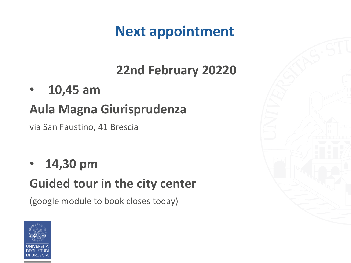## **Next appointment**

## **22nd February 20220**

• **10,45 am**

### **Aula Magna Giurisprudenza**

via San Faustino, 41 Brescia

• **14,30 pm**

## **Guided tour in the city center**

(google module to book closes today)